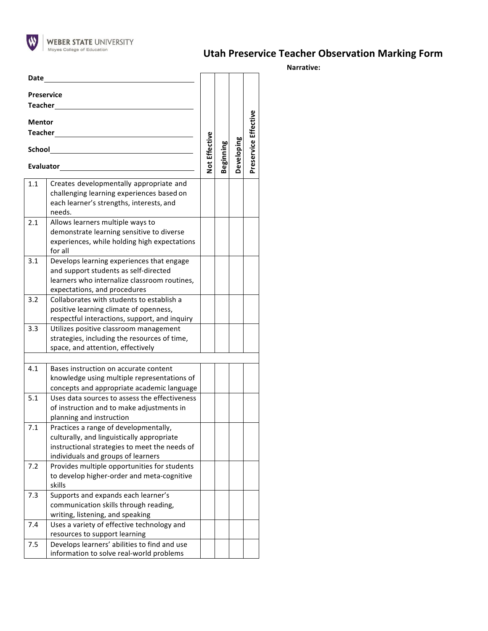

## **Utah Preservice Teacher Observation Marking Form**

**Narrative:**

| Date                                |                                                                                                                                                                            |               |           |            |                      |
|-------------------------------------|----------------------------------------------------------------------------------------------------------------------------------------------------------------------------|---------------|-----------|------------|----------------------|
| <b>Preservice</b><br><b>Teacher</b> |                                                                                                                                                                            |               |           |            |                      |
| <b>Mentor</b><br><b>Teacher</b>     |                                                                                                                                                                            |               |           |            |                      |
| <b>School</b>                       |                                                                                                                                                                            | Not Effective | Beginning | Developing | Preservice Effective |
| Evaluator_____                      |                                                                                                                                                                            |               |           |            |                      |
| 1.1                                 | Creates developmentally appropriate and<br>challenging learning experiences based on<br>each learner's strengths, interests, and<br>needs.                                 |               |           |            |                      |
| 2.1                                 | Allows learners multiple ways to<br>demonstrate learning sensitive to diverse<br>experiences, while holding high expectations<br>for all                                   |               |           |            |                      |
| 3.1                                 | Develops learning experiences that engage<br>and support students as self-directed<br>learners who internalize classroom routines,<br>expectations, and procedures         |               |           |            |                      |
| 3.2                                 | Collaborates with students to establish a<br>positive learning climate of openness,<br>respectful interactions, support, and inquiry                                       |               |           |            |                      |
| 3.3                                 | Utilizes positive classroom management<br>strategies, including the resources of time,<br>space, and attention, effectively                                                |               |           |            |                      |
|                                     |                                                                                                                                                                            |               |           |            |                      |
| 4.1                                 | Bases instruction on accurate content<br>knowledge using multiple representations of<br>concepts and appropriate academic language                                         |               |           |            |                      |
| 5.1                                 | Uses data sources to assess the effectiveness<br>of instruction and to make adjustments in<br>planning and instruction                                                     |               |           |            |                      |
| 7.1                                 | Practices a range of developmentally,<br>culturally, and linguistically appropriate<br>instructional strategies to meet the needs of<br>individuals and groups of learners |               |           |            |                      |
| 7.2                                 | Provides multiple opportunities for students<br>to develop higher-order and meta-cognitive<br>skills                                                                       |               |           |            |                      |
| 7.3                                 | Supports and expands each learner's<br>communication skills through reading,<br>writing, listening, and speaking                                                           |               |           |            |                      |
| 7.4                                 | Uses a variety of effective technology and<br>resources to support learning                                                                                                |               |           |            |                      |
| 7.5                                 | Develops learners' abilities to find and use<br>information to solve real-world problems                                                                                   |               |           |            |                      |